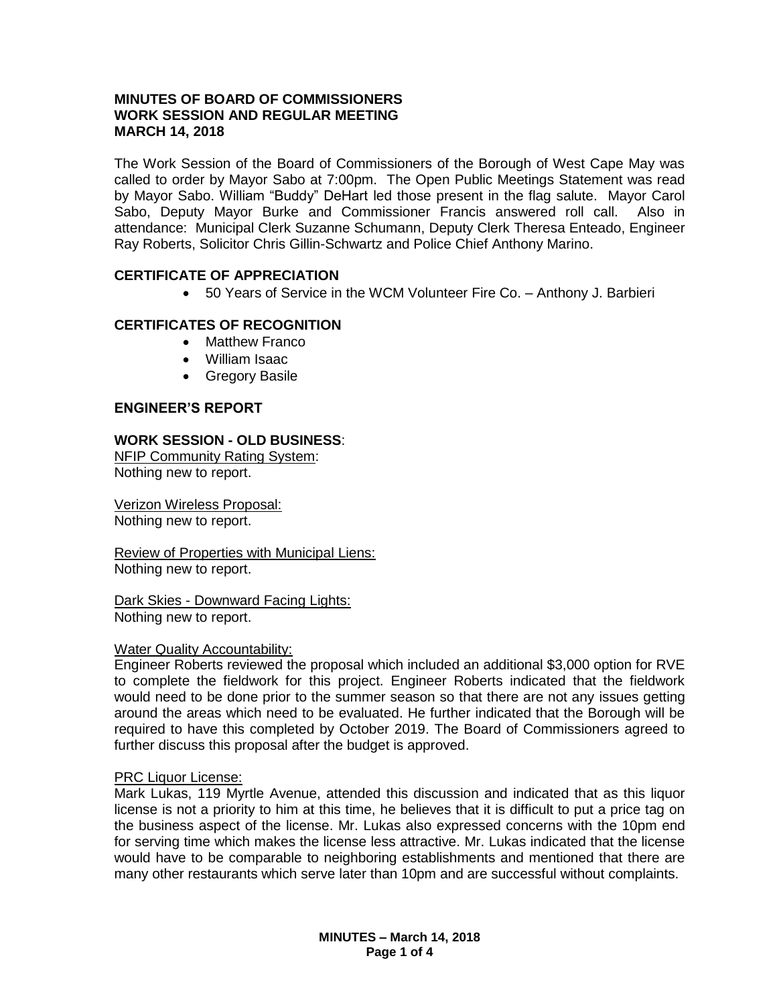# **MINUTES OF BOARD OF COMMISSIONERS WORK SESSION AND REGULAR MEETING MARCH 14, 2018**

The Work Session of the Board of Commissioners of the Borough of West Cape May was called to order by Mayor Sabo at 7:00pm. The Open Public Meetings Statement was read by Mayor Sabo. William "Buddy" DeHart led those present in the flag salute. Mayor Carol Sabo, Deputy Mayor Burke and Commissioner Francis answered roll call. Also in attendance: Municipal Clerk Suzanne Schumann, Deputy Clerk Theresa Enteado, Engineer Ray Roberts, Solicitor Chris Gillin-Schwartz and Police Chief Anthony Marino.

# **CERTIFICATE OF APPRECIATION**

50 Years of Service in the WCM Volunteer Fire Co. – Anthony J. Barbieri

# **CERTIFICATES OF RECOGNITION**

- Matthew Franco
- William Isaac
- **•** Gregory Basile

# **ENGINEER'S REPORT**

# **WORK SESSION - OLD BUSINESS**:

NFIP Community Rating System: Nothing new to report.

Verizon Wireless Proposal: Nothing new to report.

Review of Properties with Municipal Liens: Nothing new to report.

Dark Skies - Downward Facing Lights: Nothing new to report.

### Water Quality Accountability:

Engineer Roberts reviewed the proposal which included an additional \$3,000 option for RVE to complete the fieldwork for this project. Engineer Roberts indicated that the fieldwork would need to be done prior to the summer season so that there are not any issues getting around the areas which need to be evaluated. He further indicated that the Borough will be required to have this completed by October 2019. The Board of Commissioners agreed to further discuss this proposal after the budget is approved.

### PRC Liquor License:

Mark Lukas, 119 Myrtle Avenue, attended this discussion and indicated that as this liquor license is not a priority to him at this time, he believes that it is difficult to put a price tag on the business aspect of the license. Mr. Lukas also expressed concerns with the 10pm end for serving time which makes the license less attractive. Mr. Lukas indicated that the license would have to be comparable to neighboring establishments and mentioned that there are many other restaurants which serve later than 10pm and are successful without complaints.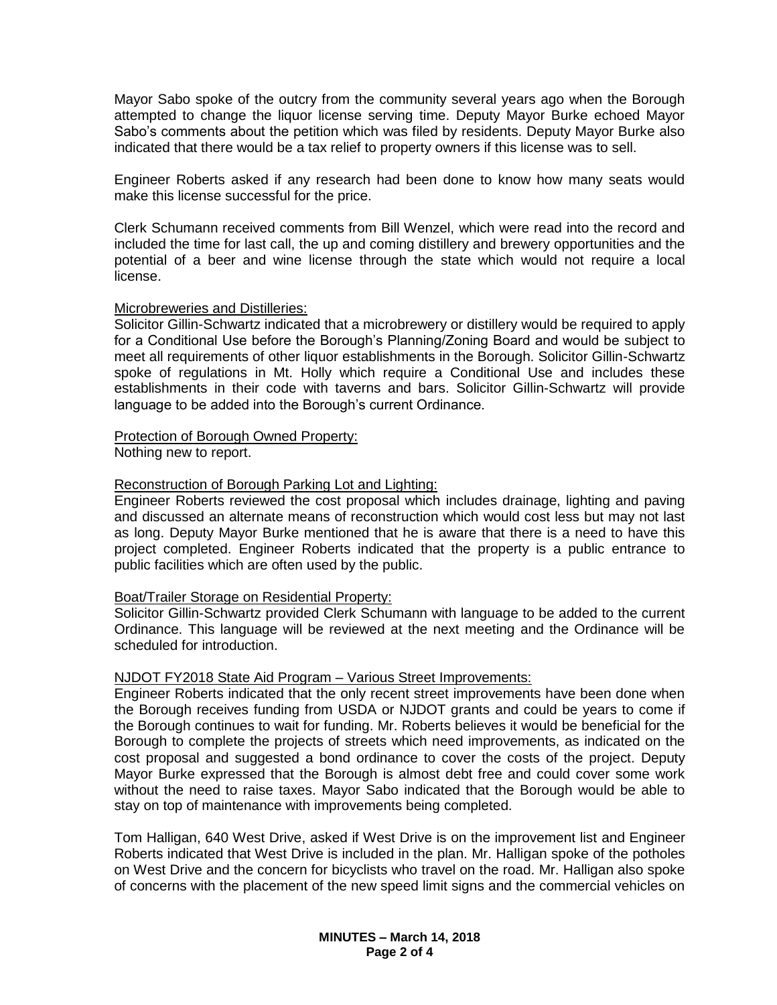Mayor Sabo spoke of the outcry from the community several years ago when the Borough attempted to change the liquor license serving time. Deputy Mayor Burke echoed Mayor Sabo's comments about the petition which was filed by residents. Deputy Mayor Burke also indicated that there would be a tax relief to property owners if this license was to sell.

Engineer Roberts asked if any research had been done to know how many seats would make this license successful for the price.

Clerk Schumann received comments from Bill Wenzel, which were read into the record and included the time for last call, the up and coming distillery and brewery opportunities and the potential of a beer and wine license through the state which would not require a local license.

### Microbreweries and Distilleries:

Solicitor Gillin-Schwartz indicated that a microbrewery or distillery would be required to apply for a Conditional Use before the Borough's Planning/Zoning Board and would be subject to meet all requirements of other liquor establishments in the Borough. Solicitor Gillin-Schwartz spoke of regulations in Mt. Holly which require a Conditional Use and includes these establishments in their code with taverns and bars. Solicitor Gillin-Schwartz will provide language to be added into the Borough's current Ordinance.

### Protection of Borough Owned Property:

Nothing new to report.

### Reconstruction of Borough Parking Lot and Lighting:

Engineer Roberts reviewed the cost proposal which includes drainage, lighting and paving and discussed an alternate means of reconstruction which would cost less but may not last as long. Deputy Mayor Burke mentioned that he is aware that there is a need to have this project completed. Engineer Roberts indicated that the property is a public entrance to public facilities which are often used by the public.

# Boat/Trailer Storage on Residential Property:

Solicitor Gillin-Schwartz provided Clerk Schumann with language to be added to the current Ordinance. This language will be reviewed at the next meeting and the Ordinance will be scheduled for introduction.

#### NJDOT FY2018 State Aid Program – Various Street Improvements:

Engineer Roberts indicated that the only recent street improvements have been done when the Borough receives funding from USDA or NJDOT grants and could be years to come if the Borough continues to wait for funding. Mr. Roberts believes it would be beneficial for the Borough to complete the projects of streets which need improvements, as indicated on the cost proposal and suggested a bond ordinance to cover the costs of the project. Deputy Mayor Burke expressed that the Borough is almost debt free and could cover some work without the need to raise taxes. Mayor Sabo indicated that the Borough would be able to stay on top of maintenance with improvements being completed.

Tom Halligan, 640 West Drive, asked if West Drive is on the improvement list and Engineer Roberts indicated that West Drive is included in the plan. Mr. Halligan spoke of the potholes on West Drive and the concern for bicyclists who travel on the road. Mr. Halligan also spoke of concerns with the placement of the new speed limit signs and the commercial vehicles on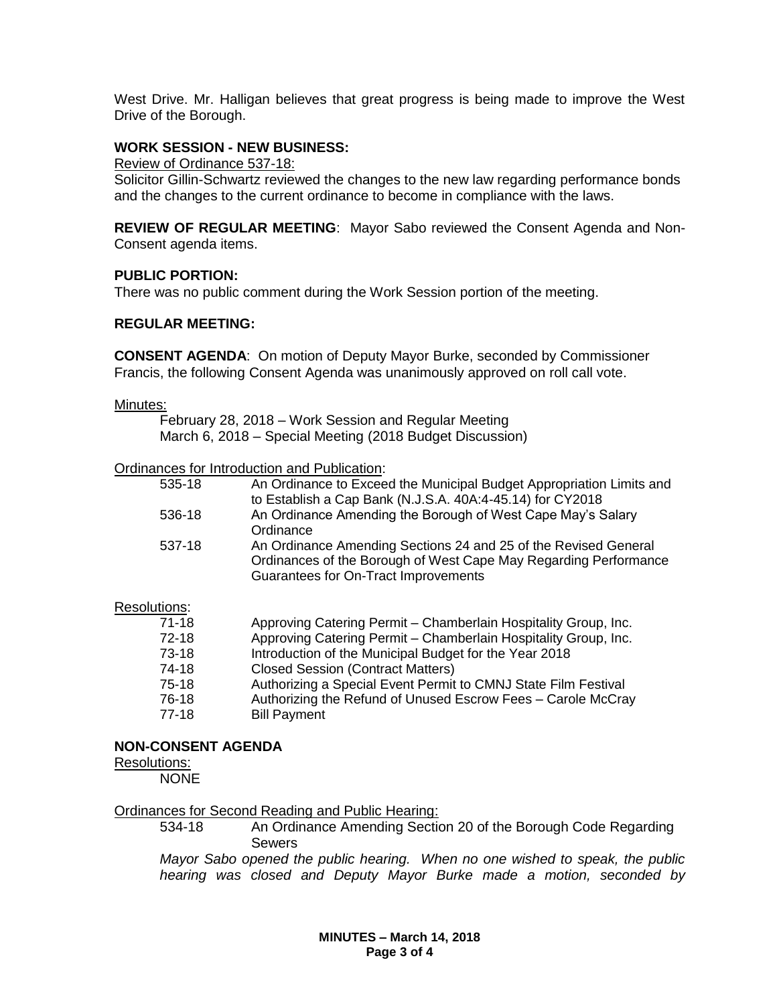West Drive. Mr. Halligan believes that great progress is being made to improve the West Drive of the Borough.

# **WORK SESSION - NEW BUSINESS:**

Review of Ordinance 537-18:

Solicitor Gillin-Schwartz reviewed the changes to the new law regarding performance bonds and the changes to the current ordinance to become in compliance with the laws.

**REVIEW OF REGULAR MEETING**: Mayor Sabo reviewed the Consent Agenda and Non-Consent agenda items.

### **PUBLIC PORTION:**

There was no public comment during the Work Session portion of the meeting.

### **REGULAR MEETING:**

**CONSENT AGENDA**: On motion of Deputy Mayor Burke, seconded by Commissioner Francis, the following Consent Agenda was unanimously approved on roll call vote.

#### Minutes:

February 28, 2018 – Work Session and Regular Meeting March 6, 2018 – Special Meeting (2018 Budget Discussion)

Ordinances for Introduction and Publication:

| 535-18 | An Ordinance to Exceed the Municipal Budget Appropriation Limits and |
|--------|----------------------------------------------------------------------|
|        | to Establish a Cap Bank (N.J.S.A. 40A:4-45.14) for CY2018            |
| 536-18 | An Ordinance Amending the Borough of West Cape May's Salary          |
|        | Ordinance                                                            |
| 537-18 | An Ordinance Amending Sections 24 and 25 of the Revised General      |
|        | Ordinances of the Borough of West Cape May Regarding Performance     |
|        | Guarantees for On-Tract Improvements                                 |
|        |                                                                      |

### Resolutions:

| 71-18 | Approving Catering Permit – Chamberlain Hospitality Group, Inc. |
|-------|-----------------------------------------------------------------|
| 72-18 | Approving Catering Permit - Chamberlain Hospitality Group, Inc. |
| 73-18 | Introduction of the Municipal Budget for the Year 2018          |
| 74-18 | <b>Closed Session (Contract Matters)</b>                        |
| 75-18 | Authorizing a Special Event Permit to CMNJ State Film Festival  |
| 76-18 | Authorizing the Refund of Unused Escrow Fees - Carole McCray    |
| 77-18 | <b>Bill Payment</b>                                             |

### **NON-CONSENT AGENDA**

#### Resolutions:

**NONE** 

### Ordinances for Second Reading and Public Hearing:

534-18 An Ordinance Amending Section 20 of the Borough Code Regarding Sewers

*Mayor Sabo opened the public hearing. When no one wished to speak, the public hearing was closed and Deputy Mayor Burke made a motion, seconded by* 

> **MINUTES – March 14, 2018 Page 3 of 4**